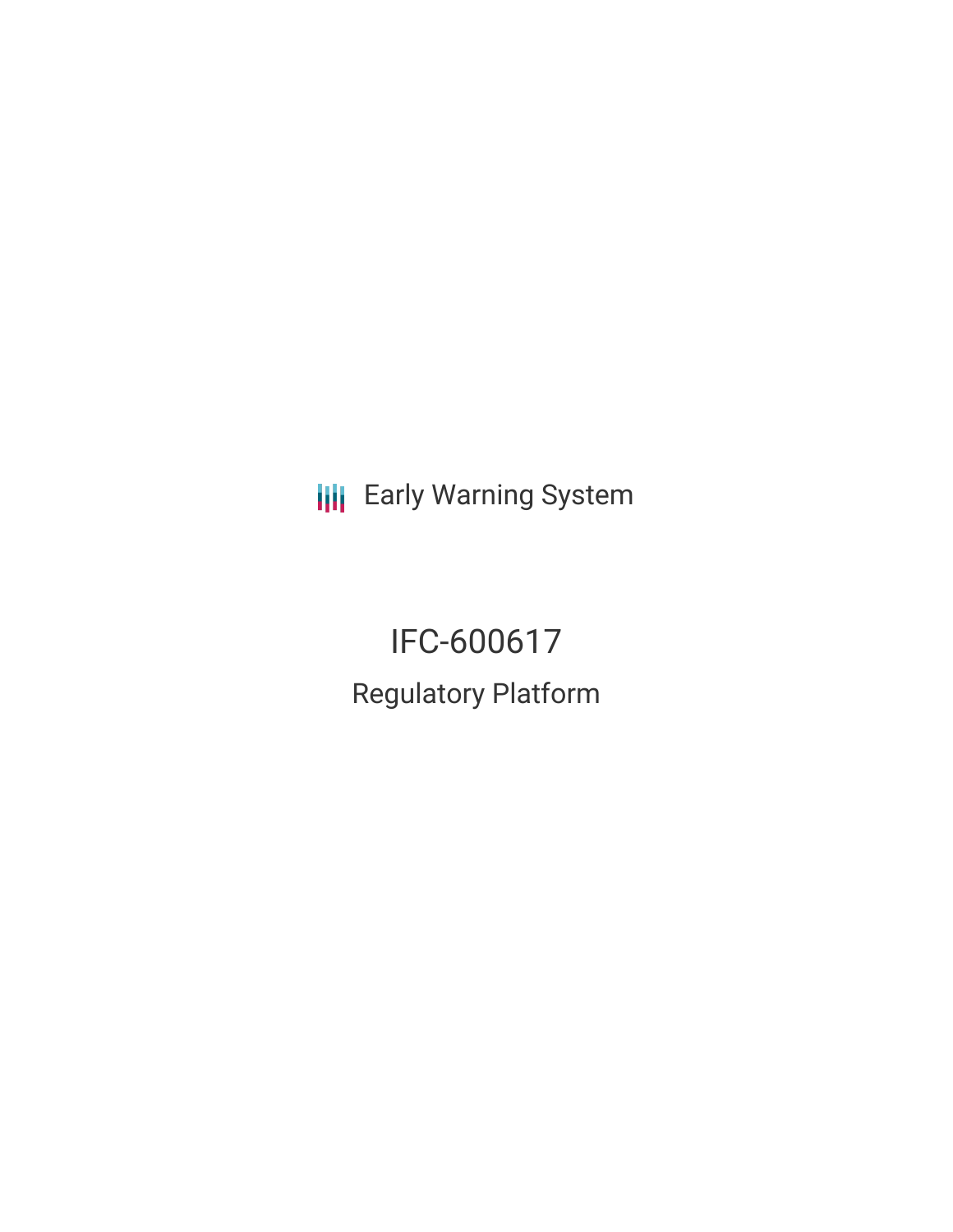**III** Early Warning System

IFC-600617 Regulatory Platform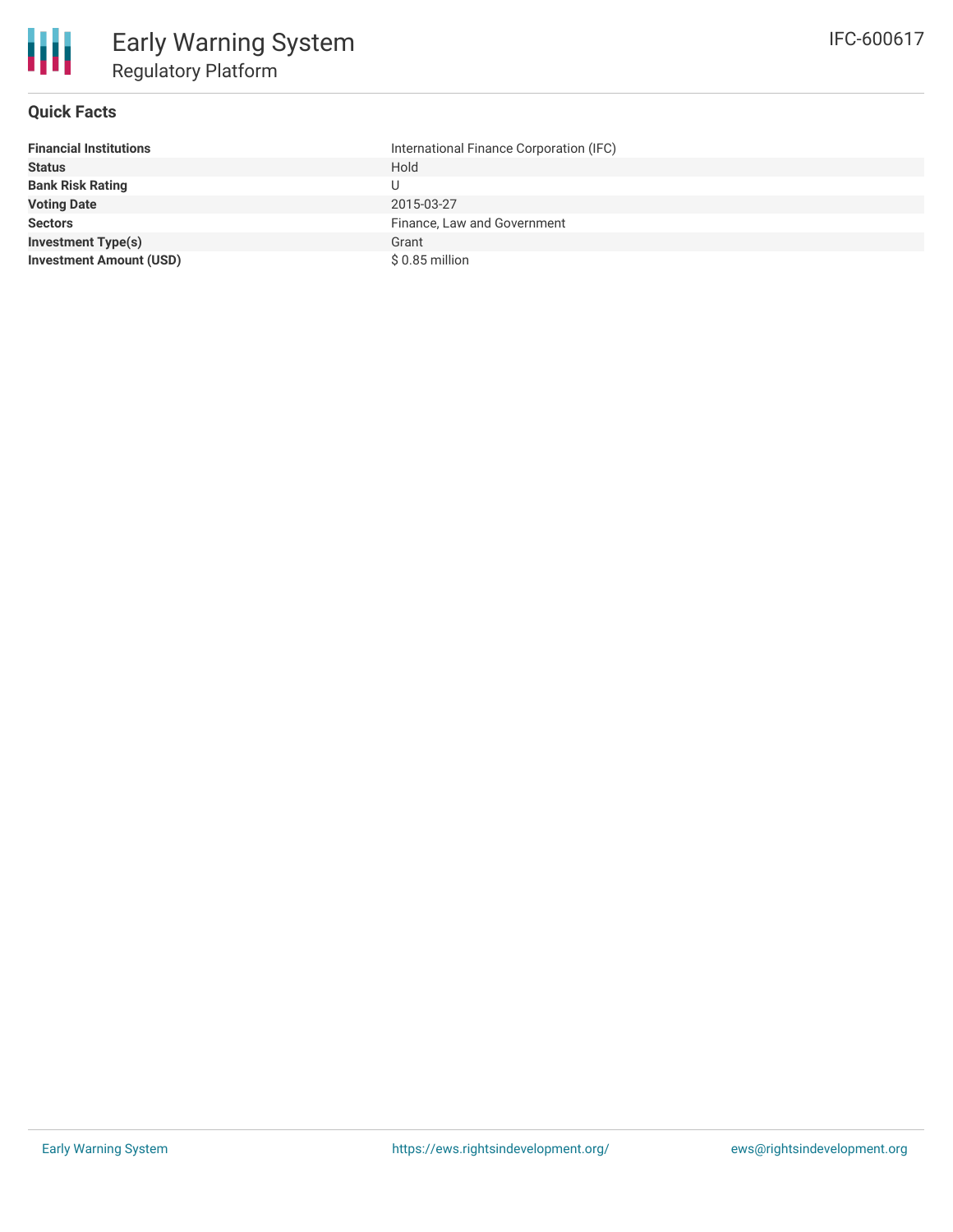

# **Quick Facts**

| <b>Financial Institutions</b>  | International Finance Corporation (IFC) |
|--------------------------------|-----------------------------------------|
| <b>Status</b>                  | Hold                                    |
| <b>Bank Risk Rating</b>        |                                         |
| <b>Voting Date</b>             | 2015-03-27                              |
| <b>Sectors</b>                 | Finance, Law and Government             |
| <b>Investment Type(s)</b>      | Grant                                   |
| <b>Investment Amount (USD)</b> | $$0.85$ million                         |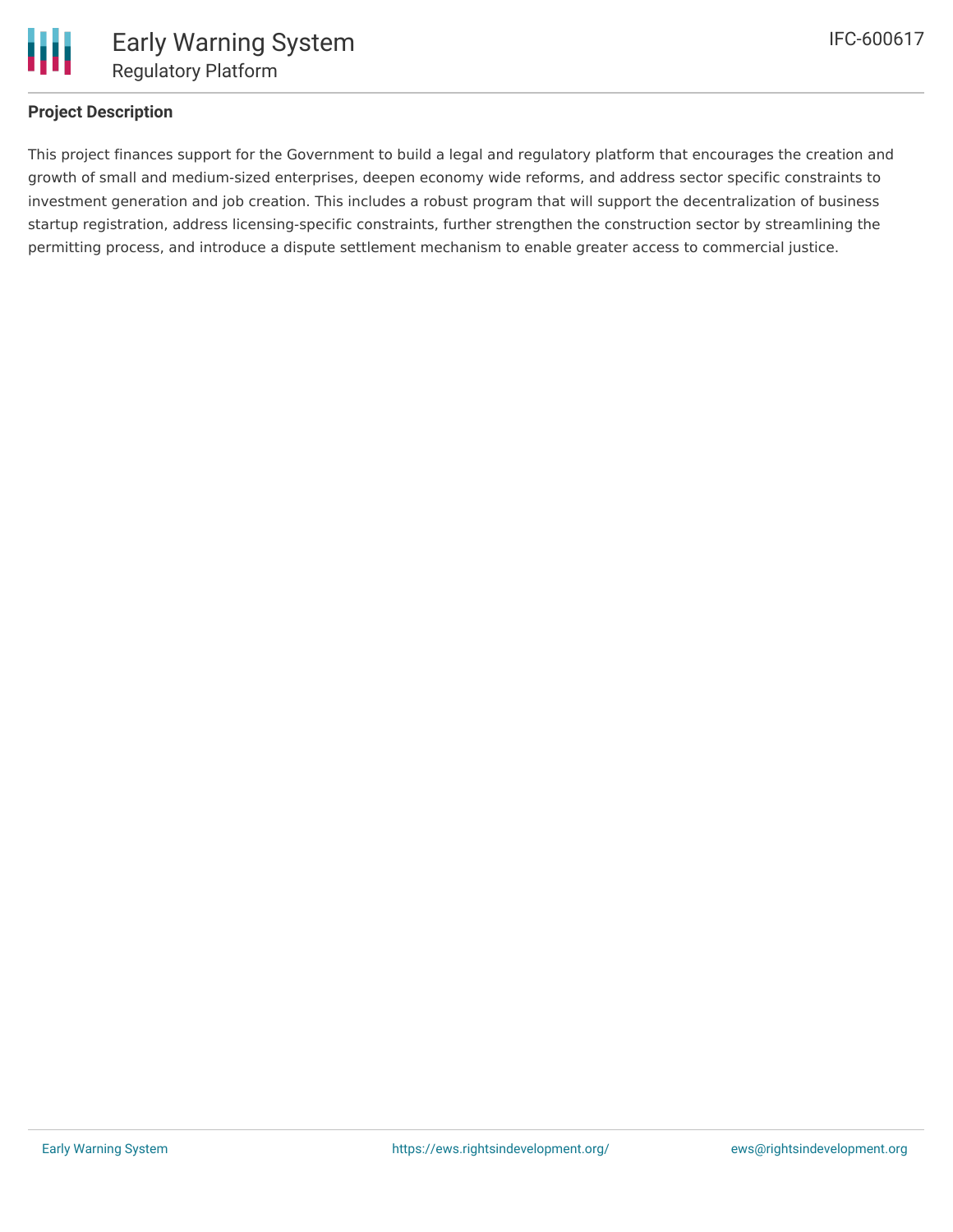# **Project Description**

This project finances support for the Government to build a legal and regulatory platform that encourages the creation and growth of small and medium-sized enterprises, deepen economy wide reforms, and address sector specific constraints to investment generation and job creation. This includes a robust program that will support the decentralization of business startup registration, address licensing-specific constraints, further strengthen the construction sector by streamlining the permitting process, and introduce a dispute settlement mechanism to enable greater access to commercial justice.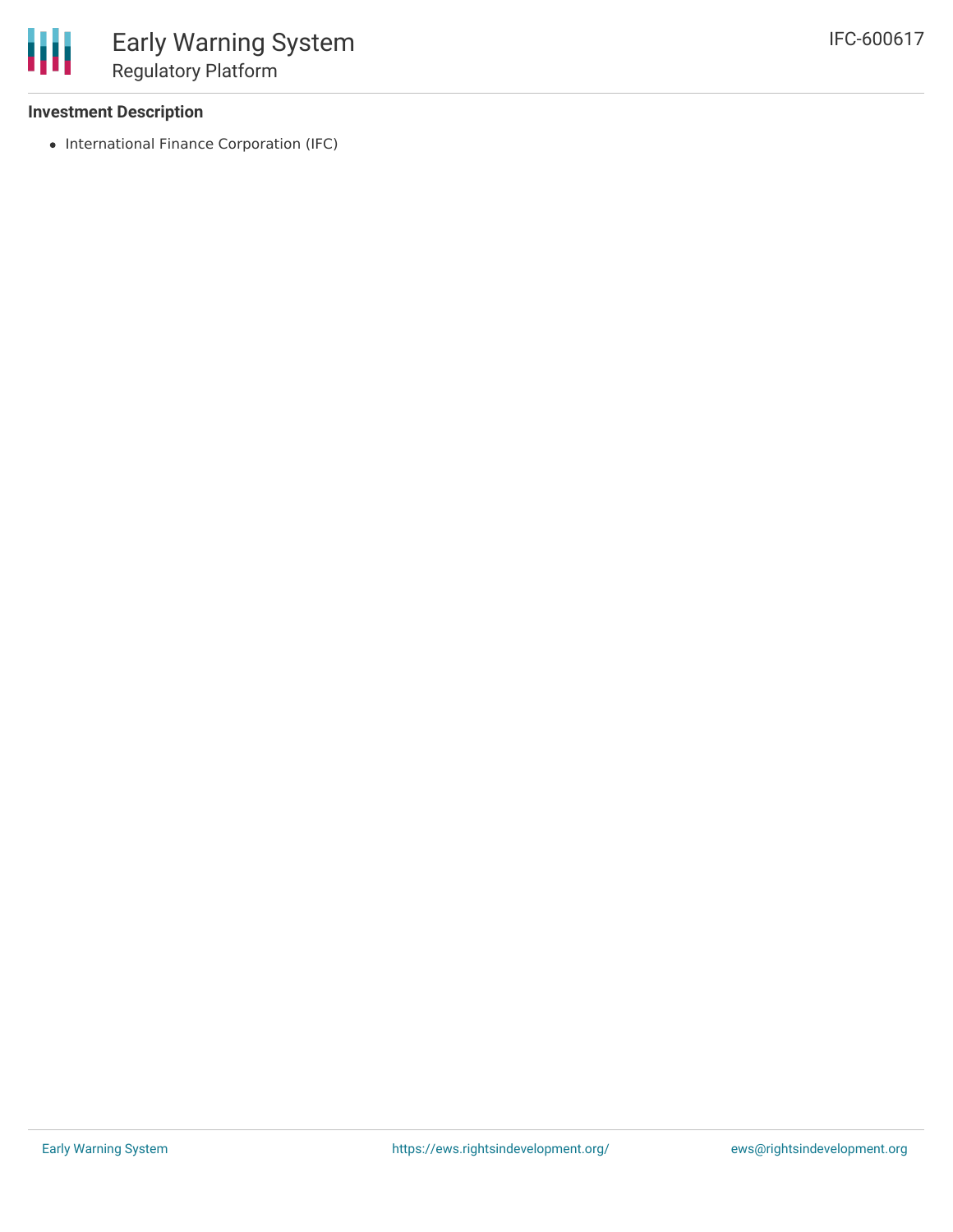### **Investment Description**

• International Finance Corporation (IFC)